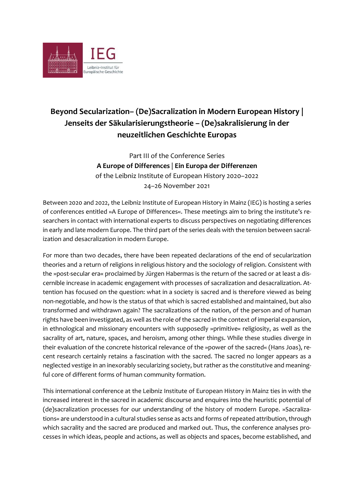

# Beyond Secularization– (De)Sacralization in Modern European History | Jenseits der Säkularisierungstheorie – (De)sakralisierung in der neuzeitlichen Geschichte Europas

Part III of the Conference Series A Europe of Differences | Ein Europa der Differenzen of the Leibniz Institute of European History 2020–2022 24–26 November 2021

Between 2020 and 2022, the Leibniz Institute of European History in Mainz (IEG) is hosting a series of conferences entitled »A Europe of Differences«. These meetings aim to bring the institute's researchers in contact with international experts to discuss perspectives on negotiating differences in early and late modern Europe. The third part of the series deals with the tension between sacralization and desacralization in modern Europe.

For more than two decades, there have been repeated declarations of the end of secularization theories and a return of religions in religious history and the sociology of religion. Consistent with the »post-secular era« proclaimed by Jürgen Habermas is the return of the sacred or at least a discernible increase in academic engagement with processes of sacralization and desacralization. Attention has focused on the question: what in a society is sacred and is therefore viewed as being non-negotiable, and how is the status of that which is sacred established and maintained, but also transformed and withdrawn again? The sacralizations of the nation, of the person and of human rights have been investigated, as well as the role of the sacred in the context of imperial expansion, in ethnological and missionary encounters with supposedly »primitive« religiosity, as well as the sacrality of art, nature, spaces, and heroism, among other things. While these studies diverge in their evaluation of the concrete historical relevance of the »power of the sacred« (Hans Joas), recent research certainly retains a fascination with the sacred. The sacred no longer appears as a neglected vestige in an inexorably secularizing society, but rather as the constitutive and meaningful core of different forms of human community formation.

This international conference at the Leibniz Institute of European History in Mainz ties in with the increased interest in the sacred in academic discourse and enquires into the heuristic potential of (de)sacralization processes for our understanding of the history of modern Europe. »Sacralizations« are understood in a cultural studies sense as acts and forms of repeated attribution, through which sacrality and the sacred are produced and marked out. Thus, the conference analyses processes in which ideas, people and actions, as well as objects and spaces, become established, and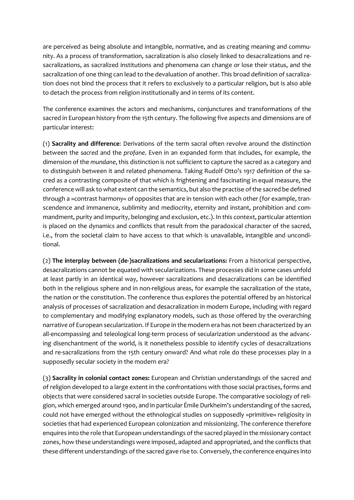are perceived as being absolute and intangible, normative, and as creating meaning and community. As a process of transformation, sacralization is also closely linked to desacralizations and resacralizations, as sacralized institutions and phenomena can change or lose their status, and the sacralization of one thing can lead to the devaluation of another. This broad definition of sacralization does not bind the process that it refers to exclusively to a particular religion, but is also able to detach the process from religion institutionally and in terms of its content.

The conference examines the actors and mechanisms, conjunctures and transformations of the sacred in European history from the 15th century. The following five aspects and dimensions are of particular interest:

(1) Sacrality and difference: Derivations of the term sacral often revolve around the distinction between the sacred and the profane. Even in an expanded form that includes, for example, the dimension of the mundane, this distinction is not sufficient to capture the sacred as a category and to distinguish between it and related phenomena. Taking Rudolf Otto's 1917 definition of the sacred as a contrasting composite of that which is frightening and fascinating in equal measure, the conference will ask to what extent can the semantics, but also the practise of the sacred be defined through a »contrast harmony« of opposites that are in tension with each other (for example, transcendence and immanence, sublimity and mediocrity, eternity and instant, prohibition and commandment, purity and impurity, belonging and exclusion, etc.). In this context, particular attention is placed on the dynamics and conflicts that result from the paradoxical character of the sacred, i.e., from the societal claim to have access to that which is unavailable, intangible and unconditional.

(2) The interplay between (de-)sacralizations and secularizations: From a historical perspective, desacralizations cannot be equated with secularizations. These processes did in some cases unfold at least partly in an identical way, however sacralizations and desacralizations can be identified both in the religious sphere and in non-religious areas, for example the sacralization of the state, the nation or the constitution. The conference thus explores the potential offered by an historical analysis of processes of sacralization and desacralization in modern Europe, including with regard to complementary and modifying explanatory models, such as those offered by the overarching narrative of European secularization. If Europe in the modern era has not been characterized by an all-encompassing and teleological long-term process of secularization understood as the advancing disenchantment of the world, is it nonetheless possible to identify cycles of desacralizations and re-sacralizations from the 15th century onward? And what role do these processes play in a supposedly secular society in the modern era?

(3) Sacrality in colonial contact zones: European and Christian understandings of the sacred and of religion developed to a large extent in the confrontations with those social practises, forms and objects that were considered sacral in societies outside Europe. The comparative sociology of religion, which emerged around 1900, and in particular Émile Durkheim's understanding of the sacred, could not have emerged without the ethnological studies on supposedly »primitive« religiosity in societies that had experienced European colonization and missionizing. The conference therefore enquires into the role that European understandings of the sacred played in the missionary contact zones, how these understandings were imposed, adapted and appropriated, and the conflicts that these different understandings of the sacred gave rise to. Conversely, the conference enquires into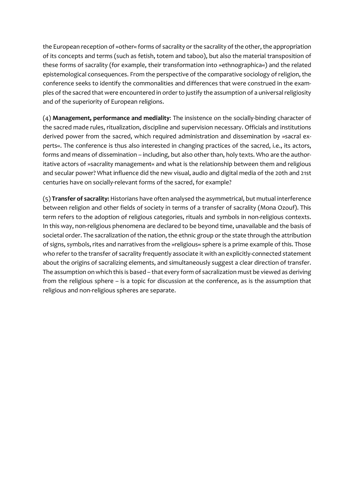the European reception of »other« forms of sacrality or the sacrality of the other, the appropriation of its concepts and terms (such as fetish, totem and taboo), but also the material transposition of these forms of sacrality (for example, their transformation into »ethnographica«) and the related epistemological consequences. From the perspective of the comparative sociology of religion, the conference seeks to identify the commonalities and differences that were construed in the examples of the sacred that were encountered in order to justify the assumption of a universal religiosity and of the superiority of European religions.

(4) Management, performance and mediality: The insistence on the socially-binding character of the sacred made rules, ritualization, discipline and supervision necessary. Officials and institutions derived power from the sacred, which required administration and dissemination by »sacral experts«. The conference is thus also interested in changing practices of the sacred, i.e., its actors, forms and means of dissemination – including, but also other than, holy texts. Who are the authoritative actors of »sacrality management« and what is the relationship between them and religious and secular power? What influence did the new visual, audio and digital media of the 20th and 21st centuries have on socially-relevant forms of the sacred, for example?

(5) Transfer of sacrality: Historians have often analysed the asymmetrical, but mutual interference between religion and other fields of society in terms of a transfer of sacrality (Mona Ozouf). This term refers to the adoption of religious categories, rituals and symbols in non-religious contexts. In this way, non-religious phenomena are declared to be beyond time, unavailable and the basis of societal order. The sacralization of the nation, the ethnic group or the state through the attribution of signs, symbols, rites and narratives from the »religious« sphere is a prime example of this. Those who refer to the transfer of sacrality frequently associate it with an explicitly-connected statement about the origins of sacralizing elements, and simultaneously suggest a clear direction of transfer. The assumption on which this is based – that every form of sacralization must be viewed as deriving from the religious sphere – is a topic for discussion at the conference, as is the assumption that religious and non-religious spheres are separate.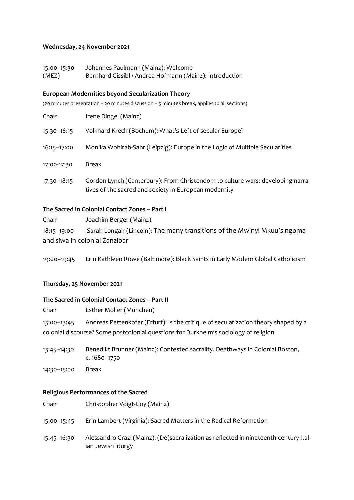#### Wednesday, 24 November 2021

| 15:00-15:30 | Johannes Paulmann (Mainz): Welcome                      |
|-------------|---------------------------------------------------------|
| (MEZ)       | Bernhard Gissibl / Andrea Hofmann (Mainz): Introduction |

#### European Modernities beyond Secularization Theory

(20 minutes presentation + 20 minutes discussion + 5 minutes break, applies to all sections)

| Chair       | Irene Dingel (Mainz)                                                                                                                    |
|-------------|-----------------------------------------------------------------------------------------------------------------------------------------|
| 15:30-16:15 | Volkhard Krech (Bochum): What's Left of secular Europe?                                                                                 |
| 16:15-17:00 | Monika Wohlrab-Sahr (Leipzig): Europe in the Logic of Multiple Secularities                                                             |
| 17:00-17:30 | Break                                                                                                                                   |
| 17:30-18:15 | Gordon Lynch (Canterbury): From Christendom to culture wars: developing narra-<br>tives of the sacred and society in European modernity |

# The Sacred in Colonial Contact Zones – Part I

| Chair                         | Joachim Berger (Mainz)                                                   |
|-------------------------------|--------------------------------------------------------------------------|
| $18:15 - 19:00$               | Sarah Longair (Lincoln): The many transitions of the Mwinyi Mkuu's ngoma |
| and siwa in colonial Zanzibar |                                                                          |

19:00–19:45 Erin Kathleen Rowe (Baltimore): Black Saints in Early Modern Global Catholicism

# Thursday, 25 November 2021

#### The Sacred in Colonial Contact Zones – Part II

| Chair                                                                                | Esther Möller (München)                                                            |
|--------------------------------------------------------------------------------------|------------------------------------------------------------------------------------|
| 13:00-13:45                                                                          | Andreas Pettenkofer (Erfurt): Is the critique of secularization theory shaped by a |
| colonial discourse? Some postcolonial questions for Durkheim's sociology of religion |                                                                                    |

13:45–14:30 Benedikt Brunner (Mainz): Contested sacrality. Deathways in Colonial Boston, c. 1680–1750

14:30–15:00 Break

#### Religious Performances of the Sacred

| Chair       | Christopher Voigt-Goy (Mainz)                                                                              |
|-------------|------------------------------------------------------------------------------------------------------------|
| 15:00-15:45 | Erin Lambert (Virginia): Sacred Matters in the Radical Reformation                                         |
| 15:45-16:30 | Alessandro Grazi (Mainz): (De)sacralization as reflected in nineteenth-century Ital-<br>ian Jewish liturgy |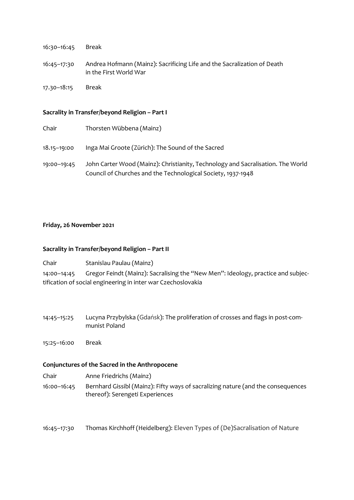| 16:30-16:45 Break |                                                                                                   |
|-------------------|---------------------------------------------------------------------------------------------------|
| $16:45 - 17:30$   | Andrea Hofmann (Mainz): Sacrificing Life and the Sacralization of Death<br>in the First World War |
| 17.30-18:15 Break |                                                                                                   |

### Sacrality in Transfer/beyond Religion – Part I

- Chair Thorsten Wübbena (Mainz)
- 18.15–19:00 Inga Mai Groote (Zürich): The Sound of the Sacred
- 19:00–19:45 John Carter Wood (Mainz): Christianity, Technology and Sacralisation. The World Council of Churches and the Technological Society, 1937-1948

# Friday, 26 November 2021

#### Sacrality in Transfer/beyond Religion – Part II

| Chair                                                        | Stanislau Paulau (Mainz)                                                         |
|--------------------------------------------------------------|----------------------------------------------------------------------------------|
| 14:00-14:45                                                  | Gregor Feindt (Mainz): Sacralising the "New Men": Ideology, practice and subjec- |
| tification of social engineering in inter war Czechoslovakia |                                                                                  |

14:45–15:25 Lucyna Przybylska (Gdańsk): The proliferation of crosses and flags in post-communist Poland

15:25–16:00 Break

#### Conjunctures of the Sacred in the Anthropocene

- Chair Anne Friedrichs (Mainz)
- 16:00–16:45 Bernhard Gissibl (Mainz): Fifty ways of sacralizing nature (and the consequences thereof): Serengeti Experiences

16:45–17:30 Thomas Kirchhoff (Heidelberg): Eleven Types of (De)Sacralisation of Nature